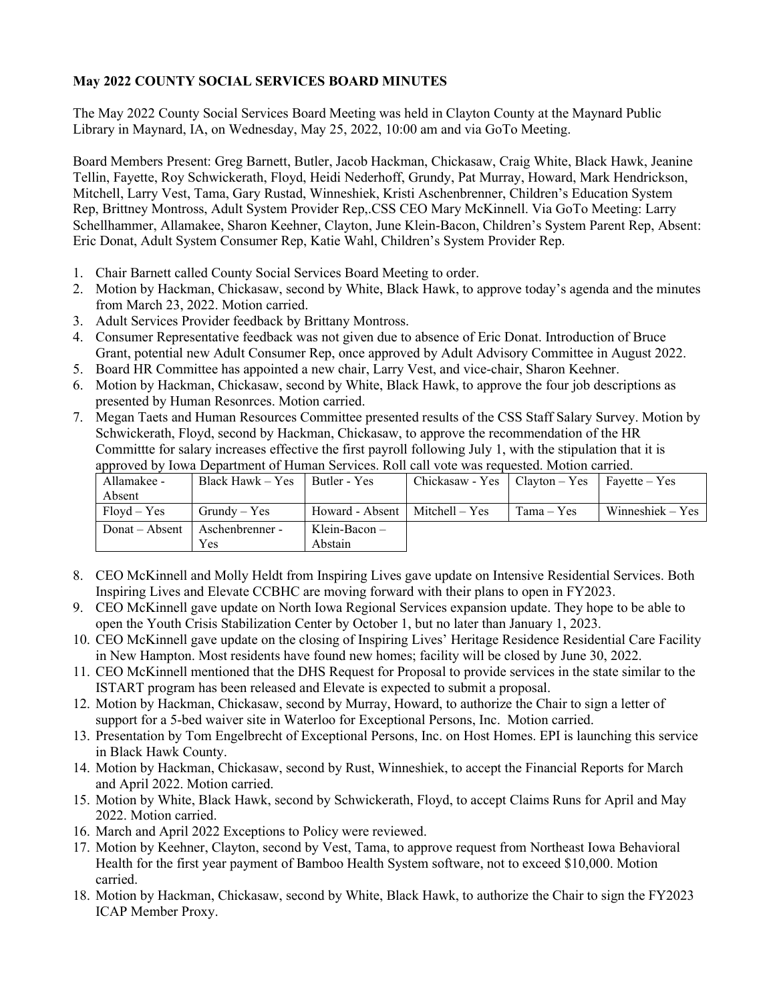## **May 2022 COUNTY SOCIAL SERVICES BOARD MINUTES**

The May 2022 County Social Services Board Meeting was held in Clayton County at the Maynard Public Library in Maynard, IA, on Wednesday, May 25, 2022, 10:00 am and via GoTo Meeting.

Board Members Present: Greg Barnett, Butler, Jacob Hackman, Chickasaw, Craig White, Black Hawk, Jeanine Tellin, Fayette, Roy Schwickerath, Floyd, Heidi Nederhoff, Grundy, Pat Murray, Howard, Mark Hendrickson, Mitchell, Larry Vest, Tama, Gary Rustad, Winneshiek, Kristi Aschenbrenner, Children's Education System Rep, Brittney Montross, Adult System Provider Rep,.CSS CEO Mary McKinnell. Via GoTo Meeting: Larry Schellhammer, Allamakee, Sharon Keehner, Clayton, June Klein-Bacon, Children's System Parent Rep, Absent: Eric Donat, Adult System Consumer Rep, Katie Wahl, Children's System Provider Rep.

- 1. Chair Barnett called County Social Services Board Meeting to order.
- 2. Motion by Hackman, Chickasaw, second by White, Black Hawk, to approve today's agenda and the minutes from March 23, 2022. Motion carried.
- 3. Adult Services Provider feedback by Brittany Montross.
- 4. Consumer Representative feedback was not given due to absence of Eric Donat. Introduction of Bruce Grant, potential new Adult Consumer Rep, once approved by Adult Advisory Committee in August 2022.
- 5. Board HR Committee has appointed a new chair, Larry Vest, and vice-chair, Sharon Keehner.
- 6. Motion by Hackman, Chickasaw, second by White, Black Hawk, to approve the four job descriptions as presented by Human Resonrces. Motion carried.
- 7. Megan Taets and Human Resources Committee presented results of the CSS Staff Salary Survey. Motion by Schwickerath, Floyd, second by Hackman, Chickasaw, to approve the recommendation of the HR Committte for salary increases effective the first payroll following July 1, with the stipulation that it is approved by Iowa Department of Human Services. Roll call vote was requested. Motion carried.

| Allamakee -    | Black Hawk – Yes | Butler - Yes    | Chickasaw - Yes   Clayton – Yes   Fayette – Yes |              |                    |
|----------------|------------------|-----------------|-------------------------------------------------|--------------|--------------------|
| Absent         |                  |                 |                                                 |              |                    |
| $Flovd - Yes$  | $Grundv - Yes$   | Howard - Absent | Mitchell – Yes                                  | $Tama - Yes$ | Winneshiek – $Yes$ |
| Donat – Absent | Aschenbrenner -  | Klein-Bacon –   |                                                 |              |                    |
|                | Yes              | Abstain         |                                                 |              |                    |

- 8. CEO McKinnell and Molly Heldt from Inspiring Lives gave update on Intensive Residential Services. Both Inspiring Lives and Elevate CCBHC are moving forward with their plans to open in FY2023.
- 9. CEO McKinnell gave update on North Iowa Regional Services expansion update. They hope to be able to open the Youth Crisis Stabilization Center by October 1, but no later than January 1, 2023.
- 10. CEO McKinnell gave update on the closing of Inspiring Lives' Heritage Residence Residential Care Facility in New Hampton. Most residents have found new homes; facility will be closed by June 30, 2022.
- 11. CEO McKinnell mentioned that the DHS Request for Proposal to provide services in the state similar to the ISTART program has been released and Elevate is expected to submit a proposal.
- 12. Motion by Hackman, Chickasaw, second by Murray, Howard, to authorize the Chair to sign a letter of support for a 5-bed waiver site in Waterloo for Exceptional Persons, Inc. Motion carried.
- 13. Presentation by Tom Engelbrecht of Exceptional Persons, Inc. on Host Homes. EPI is launching this service in Black Hawk County.
- 14. Motion by Hackman, Chickasaw, second by Rust, Winneshiek, to accept the Financial Reports for March and April 2022. Motion carried.
- 15. Motion by White, Black Hawk, second by Schwickerath, Floyd, to accept Claims Runs for April and May 2022. Motion carried.
- 16. March and April 2022 Exceptions to Policy were reviewed.
- 17. Motion by Keehner, Clayton, second by Vest, Tama, to approve request from Northeast Iowa Behavioral Health for the first year payment of Bamboo Health System software, not to exceed \$10,000. Motion carried.
- 18. Motion by Hackman, Chickasaw, second by White, Black Hawk, to authorize the Chair to sign the FY2023 ICAP Member Proxy.